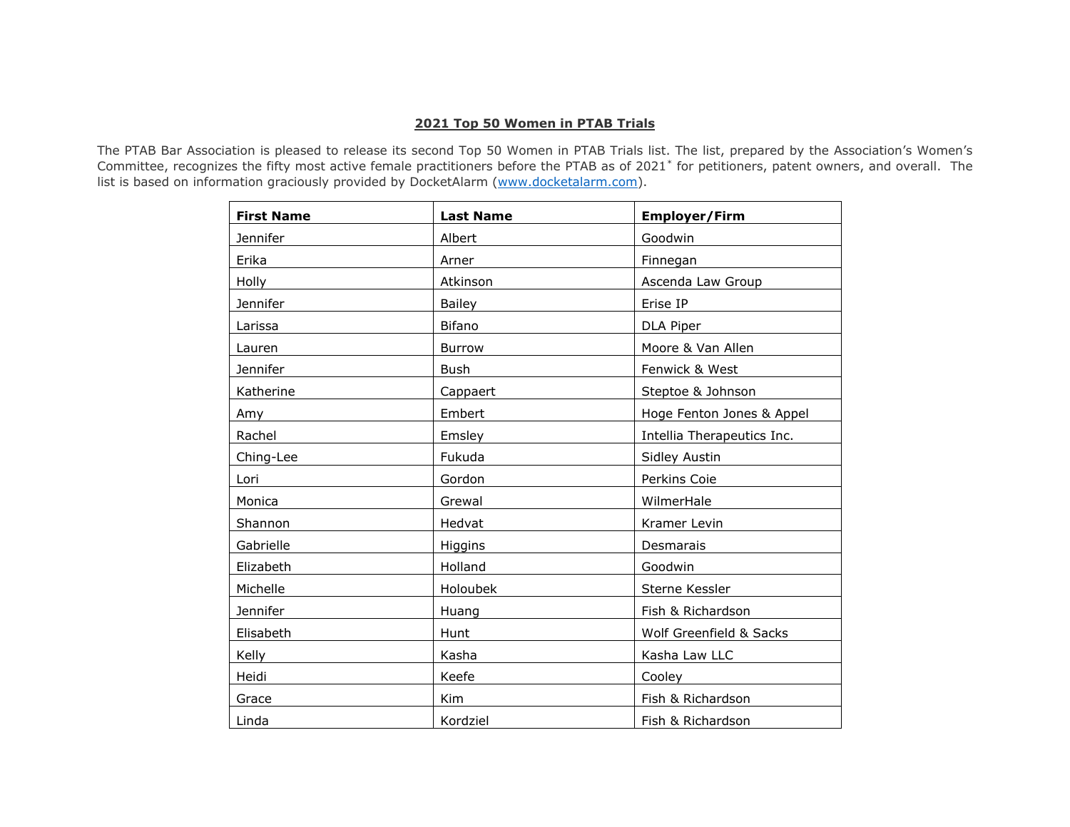## **2021 Top 50 Women in PTAB Trials**

The PTAB Bar Association is pleased to release its second Top 50 Women in PTAB Trials list. The list, prepared by the Association's Women's Committee, recognizes the fifty most active female practitioners before the PTAB as of 2021[\\*](#page-1-0) for petitioners, patent owners, and overall. The list is based on information graciously provided by DocketAlarm [\(www.docketalarm.com\)](http://www.docketalarm.com/).

| <b>First Name</b> | <b>Last Name</b> | <b>Employer/Firm</b>       |
|-------------------|------------------|----------------------------|
| Jennifer          | Albert           | Goodwin                    |
| Erika             | Arner            | Finnegan                   |
| Holly             | Atkinson         | Ascenda Law Group          |
| Jennifer          | <b>Bailey</b>    | Erise IP                   |
| Larissa           | <b>Bifano</b>    | DLA Piper                  |
| Lauren            | Burrow           | Moore & Van Allen          |
| <b>Jennifer</b>   | Bush             | Fenwick & West             |
| Katherine         | Cappaert         | Steptoe & Johnson          |
| Amy               | Embert           | Hoge Fenton Jones & Appel  |
| Rachel            | Emsley           | Intellia Therapeutics Inc. |
| Ching-Lee         | Fukuda           | Sidley Austin              |
| Lori              | Gordon           | Perkins Coie               |
| Monica            | Grewal           | WilmerHale                 |
| Shannon           | Hedvat           | Kramer Levin               |
| Gabrielle         | Higgins          | Desmarais                  |
| Elizabeth         | Holland          | Goodwin                    |
| Michelle          | Holoubek         | Sterne Kessler             |
| Jennifer          | Huang            | Fish & Richardson          |
| Elisabeth         | Hunt             | Wolf Greenfield & Sacks    |
| Kelly             | Kasha            | Kasha Law LLC              |
| Heidi             | Keefe            | Cooley                     |
| Grace             | Kim              | Fish & Richardson          |
| Linda             | Kordziel         | Fish & Richardson          |